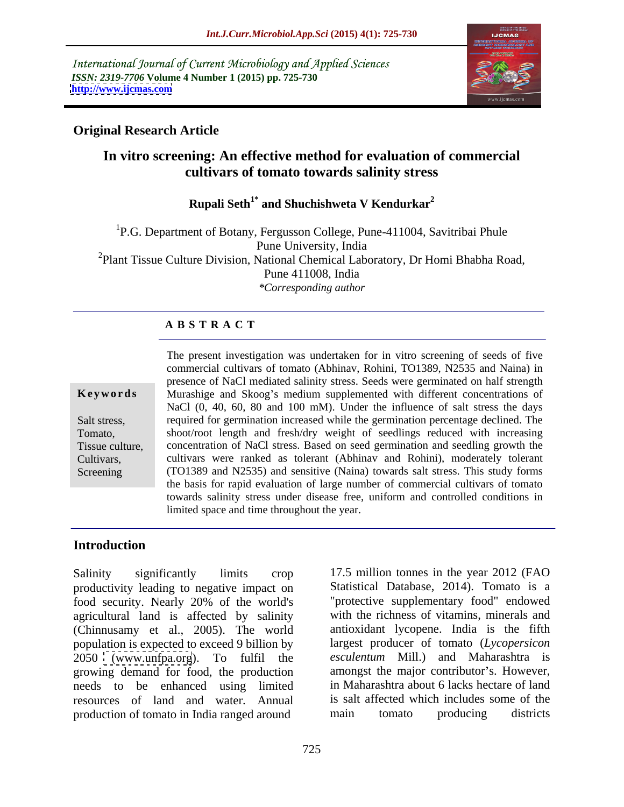International Journal of Current Microbiology and Applied Sciences *ISSN: 2319-7706* **Volume 4 Number 1 (2015) pp. 725-730 <http://www.ijcmas.com>**



### **Original Research Article**

## **In vitro screening: An effective method for evaluation of commercial cultivars of tomato towards salinity stress**

## **Rupali Seth1\* and Shuchishweta V Kendurkar2**

<sup>1</sup>P.G. Department of Botany, Fergusson College, Pune-411004, Savitribai Phule Pune University, India <sup>2</sup>Plant Tissue Culture Division, National Chemical Laboratory, Dr Homi Bhabha Road, Pune 411008, India *\*Corresponding author*

### **A B S T R A C T**

Screening

The present investigation was undertaken for in vitro screening of seeds of five commercial cultivars of tomato (Abhinav, Rohini, TO1389, N2535 and Naina) in presence of NaCl mediated salinity stress. Seeds were germinated on half strength **Keywords** Murashige and Skoog's medium supplemented with different concentrations of NaCl  $(0, 40, 60, 80, 100, 100, 100)$  mM). Under the influence of salt stress the days Salt stress, required for germination increased while the germination percentage declined. The shoot/root length and fresh/dry weight of seedlings reduced with increasing Tomato, concentration of NaCl stress. Based on seed germination and seedling growth the Tissue culture, cultivars were ranked as tolerant (Abhinav and Rohini), moderately tolerant Cultivars, (TO1389 and N2535) and sensitive (Naina) towards salt stress. This study forms the basis for rapid evaluation of large number of commercial cultivars of tomato towards salinity stress under disease free, uniform and controlled conditions in limited space and time throughout the year.

### **Introduction**

Salinity significantly limits crop 17.5 million tonnes in the year 2012 (FAO productivity leading to negative impact on food security. Nearly 20% of the world's agricultural land is affected by salinity (Chinnusamy et al., 2005). The world population is expected to exceed 9 billion by 2050 [\(www.unfpa.org](http://www.unfpa.org)). To fulfil the growing demand for food, the production needs to be enhanced using limited resources of land and water. Annual is salt affected which includes some of the production of tomato in India ranged around main tomato producing districts production of tomato in India ranged around

Statistical Database, 2014). Tomato is a "protective supplementary food" endowed with the richness of vitamins, minerals and antioxidant lycopene. India is the fifth largest producer of tomato (*Lycopersicon esculentum* Mill.) and Maharashtra is amongst the major contributor's. However, in Maharashtra about 6 lacks hectare of land is salt affected which includes some of the main tomato producing districts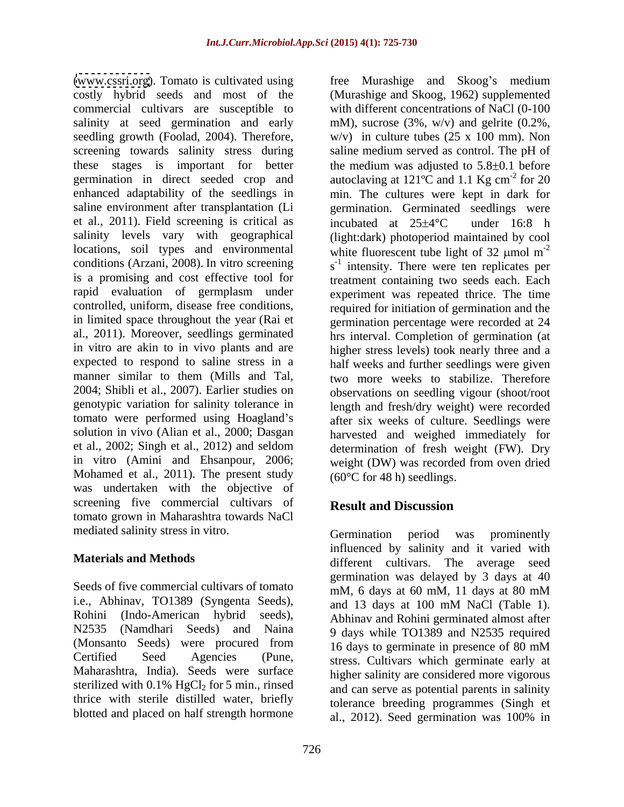[\(www.cssri.org](http://www.cssri.org)). Tomato is cultivated using free Murashige and Skoog's medium costly hybrid seeds and most of the (Murashige and Skoog, 1962) supplemented commercial cultivars are susceptible to salinity at seed germination and early mM), sucrose (3%, w/v) and gelrite (0.2%, seedling growth (Foolad, 2004). Therefore,  $w/v$ ) in culture tubes (25 x 100 mm). Non screening towards salinity stress during saline medium served as control. The pH of these stages is important for better the medium was adjusted to  $5.8\pm 0.1$  before germination in direct seeded crop and autoclaving at  $121^{\circ}$ C and  $1.1$  Kg cm<sup>-2</sup> for 20 enhanced adaptability of the seedlings in min. The cultures were kept in dark for saline environment after transplantation (Li et al., 2011). Field screening is critical as incubated at  $25\pm4\degree$ C under 16:8 h salinity levels vary with geographical (light:dark) photoperiod maintained by cool locations, soil types and environmental white fluorescent tube light of 32  $\mu$ mol m<sup>-2</sup> conditions (Arzani, 2008). In vitro screening  $s^{-1}$  intensity. There were ten replicates per is a promising and cost effective tool for treatment containing two seeds each. Each rapid evaluation of germplasm under controlled, uniform, disease free conditions, required for initiation of germination and the in limited space throughout the year (Rai et germination percentage were recorded at 24 al., 2011). Moreover, seedlings germinated hrs interval. Completion of germination (at in vitro are akin to in vivo plants and are expected to respond to saline stress in a half weeks and further seedlings were given manner similar to them (Mills and Tal, two more weeks to stabilize. Therefore 2004; Shibli et al., 2007). Earlier studies on observations on seedling vigour (shoot/root genotypic variation for salinity tolerance in length and fresh/dry weight) were recorded tomato were performed using Hoagland's after six weeks of culture. Seedlings were solution in vivo (Alian et al., 2000; Dasgan harvested and weighed immediately for et al., 2002; Singh et al., 2012) and seldom in vitro (Amini and Ehsanpour, 2006; weight (DW) was recorded from oven dried Mohamed et al., 2011). The present study was undertaken with the objective of screening five commercial cultivars of **Result and Discussion** tomato grown in Maharashtra towards NaCl

Seeds of five commercial cultivars of tomato  $\overline{m}$ M, 6 days at 60 mM, 11 days at 80 mM i.e., Abhinav, TO1389 (Syngenta Seeds), and 13 days at 100 mM NaCl (Table 1). Rohini (Indo-American hybrid seeds), Abhinav and Rohini germinated almost after N2535 (Namdhari Seeds) and Naina 9 days while TO1389 and N2535 required (Monsanto Seeds) were procured from 16 days to germinate in presence of 80 mM Certified Seed Agencies (Pune, stress. Cultivars which germinate early at Maharashtra, India). Seeds were surface sterilized with 0.1% HgCl<sub>2</sub> for 5 min., rinsed and can serve as potential parents in salinity thrice with sterile distilled water, briefly

726

with different concentrations of NaCl (0-100)  $-2$  for 20 for 20 germination. Germinated seedlings were incubated at  $25\pm4\degree C$  under 16:8 h -2 experiment was repeated thrice. The time higher stress levels) took nearly three and a determination of fresh weight (FW). Dry  $(60^{\circ}$ C for 48 h) seedlings.

# **Result and Discussion**

mediated salinity stress in vitro. Germination period was prominently **Materials and Methods** entertainment of the average seed different cultivars. The average seed blotted and placed on half strength hormone  $\frac{1}{2012}$ . Seed germination was 100% in Germination period was prominently influenced by salinity and it varied with different cultivars. The average seed germination was delayed by 3 days at 40 mM, 6 days at 60 mM, 11 days at 80 mM and 13 days at 100 mM NaCl (Table 1). 16 days to germinate in presence of 80 mM higher salinity are considered more vigorous and can serve as potential parents in salinity tolerance breeding programmes (Singh et al., 2012). Seed germination was 100% in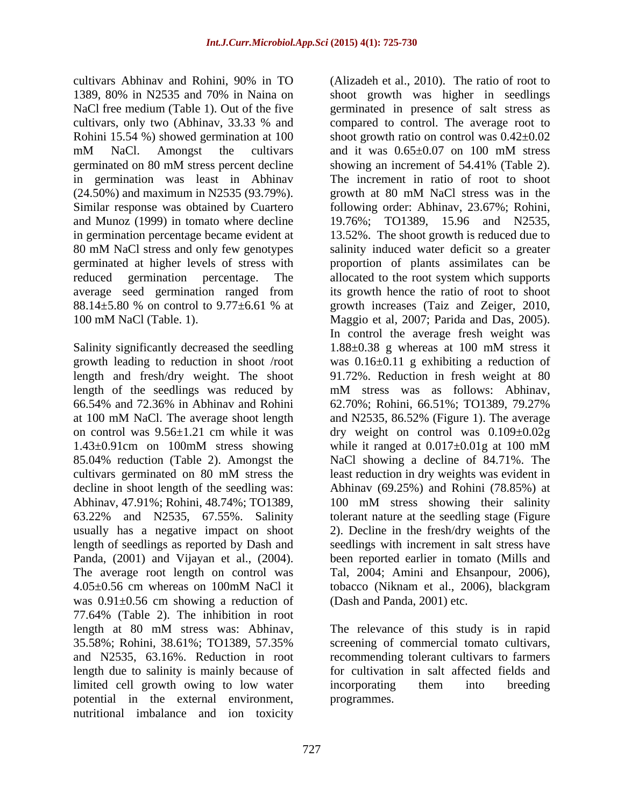cultivars Abhinav and Rohini, 90% in TO (Alizadeh et al., 2010). The ratio of root to mM NaCl. Amongst the cultivars and it was  $0.65 \pm 0.07$  on 100 mM stress  $(24.50\%)$  and maximum in N2535 (93.79%). growth at 80 mM NaCl stress was in the Similar response was obtained by Cuartero and Munoz (1999) in tomato where decline

Salinity significantly decreased the seedling 1.88±0.38 g whereas at 100 mM stress it length of the seedlings was reduced by  $mM$  stress was as follows: Abhinav, 66.54% and 72.36% in Abhinav and Rohini 85.04% reduction (Table 2). Amongst the was 0.91±0.56 cm showing a reduction of 77.64% (Table 2). The inhibition in root length at 80 mM stress was: Abhinav, 35.58%; Rohini, 38.61%; TO1389, 57.35% screening of commercial tomato cultivars, and N2535, 63.16%. Reduction in root length due to salinity is mainly because of limited cell growth owing to low water incorporating them into breeding potential in the external environment, nutritional imbalance and ion toxicity

1389, 80% in N2535 and 70% in Naina on shoot growth was higher in seedlings NaCl free medium (Table 1). Out of the five germinated in presence of salt stress as cultivars, only two (Abhinav, 33.33 % and Rohini 15.54 %) showed germination at 100 shoot growth ratio on control was  $0.42\pm0.02$ germinated on 80 mM stress percent decline showing an increment of 54.41% (Table 2). in germination was least in Abhinav The increment in ratio of root to shoot in germination percentage became evident at 13.52%. The shoot growth is reduced due to 80 mM NaCl stress and only few genotypes germinated at higher levels of stress with proportion of plants assimilates can be reduced germination percentage. The allocated to the root system which supports average seed germination ranged from its growth hence the ratio of root to shoot  $88.14\pm5.80$  % on control to  $9.77\pm6.61$  % at growth increases (Taiz and Zeiger, 2010, 100 mM NaCl (Table. 1). Maggio et al, 2007; Parida and Das, 2005). growth leading to reduction in shoot /root was 0.16±0.11 g exhibiting a reduction of length and fresh/dry weight. The shoot 91.72%. Reduction in fresh weight at 80 at 100 mM NaCl. The average shoot length and N2535, 86.52% (Figure 1). The average on control was 9.56±1.21 cm while it was dry weight on control was 0.109±0.02g  $1.43\pm0.91$ cm on 100mM stress showing while it ranged at  $0.017\pm0.01$ g at 100 mM cultivars germinated on 80 mM stress the least reduction in dry weights was evident in decline in shoot length of the seedling was: Abhinav (69.25%) and Rohini (78.85%) at Abhinav, 47.91%; Rohini, 48.74%; TO1389, 100 mM stress showing their salinity 63.22% and N2535, 67.55%. Salinity tolerant nature at the seedling stage (Figure usually has a negative impact on shoot 2). Decline in the fresh/dry weights of the length of seedlings as reported by Dash and seedlings with increment in salt stress have Panda, (2001) and Vijayan et al., (2004). been reported earlier in tomato (Mills and The average root length on control was Tal, 2004; Amini and Ehsanpour, 2006), 4.05±0.56 cm whereas on 100mM NaCl it tobacco (Niknam et al., 2006), blackgram compared to control. The average root to and it was  $0.65 \pm 0.07$  on 100 mM stress showing an increment of 54.41% (Table 2). growth at 80 mM NaCl stress was in the following order: Abhinav, 23.67%; Rohini, 19.76%; TO1389, 15.96 and N2535, salinity induced water deficit so a greater growth increases (Taiz and Zeiger, 2010, In control the average fresh weight was 1.88±0.38 g whereas at 100 mM stress it mM stress was as follows: Abhinav, 62.70%; Rohini, 66.51%; TO1389, 79.27% while it ranged at 0.017±0.01g at 100 mM NaCl showing a decline of 84.71%. The been reported earlier in tomato (Mills and Tal, 2004; Amini and Ehsanpour, 2006), (Dash and Panda, 2001) etc.

> The relevance of this study is in rapid recommending tolerant cultivars to farmers for cultivation in salt affected fields and incorporating them into breeding programmes.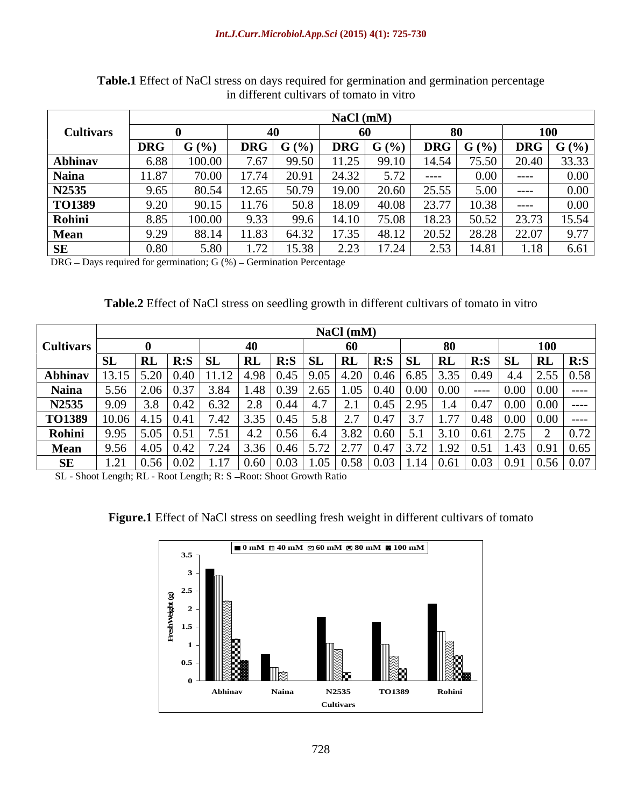|                  |            |         |                  |                        | NaCl (mM)            |       |                  |              |                  |       |
|------------------|------------|---------|------------------|------------------------|----------------------|-------|------------------|--------------|------------------|-------|
| <b>Cultivars</b> |            |         |                  |                        |                      |       |                  |              | 100              |       |
|                  | <b>DRG</b> | $G(\%)$ | DRG $\mid G (%)$ |                        | DRG $\mid G \mid \%$ |       | DRG $\mid G (%)$ |              | DRG $\mid G (%)$ |       |
| Abhinav          | 6.88       | 100.0   |                  | 99.50<br><i>,,</i> ,,, | 11.25                | 99.10 | . – ⊷            | 75.50        | 20.40            | 33.33 |
| <b>Naina</b>     |            | 70.00   | 17.74            | 20.91                  | 24.32                | 5.72  | -----            | $0.00 \perp$ | ______           | 0.00  |
| N2535            | 9.65.      | 80.54   | $12.65$ $\pm$    | 50.79                  | 19.00                | 20.60 | ا دد.پ           | 5.00 1       | _____            |       |
| TO1389           |            | 90.15   | .76              | 50.8                   | 18.09                | 40.08 |                  | LO 38.       | -----            |       |
| Rohini           |            | 100.0   | 9.33             | 99.6                   | 14.10                | 75.08 | ⊥0.∠J            | 50.52        | 23.73            | 15.54 |
| Mean             |            | 88.14   | 1.83             | 64.32                  | 17.35                | 48.12 |                  | 28.28        | 22.07            |       |
| SE.              |            | 5 L     |                  | 1 E<br>38              | 222                  | 17.24 |                  | 14.81        | 1.18             | 6.61  |

**Table.1** Effect of NaCl stress on days required for germination and germination percentage in different cultivars of tomato in vitro

 $DRG$  – Days required for germination;  $G$  (%) – Germination Percentage

| <b>Table.2</b> Effect of NaCl stress on seedling growth in different cultivars of tomato in vitro |  |
|---------------------------------------------------------------------------------------------------|--|
|                                                                                                   |  |

|                  |     |                |                         |                               |           |                                                                                                                                           | $NaCl$ (mM)       |                                  |      |                                             |                     |                     |            |                            |
|------------------|-----|----------------|-------------------------|-------------------------------|-----------|-------------------------------------------------------------------------------------------------------------------------------------------|-------------------|----------------------------------|------|---------------------------------------------|---------------------|---------------------|------------|----------------------------|
| <b>Cultivars</b> |     |                |                         |                               |           |                                                                                                                                           | 60                |                                  |      |                                             |                     |                     |            |                            |
|                  | SL. | <b>RL</b>      | $\mathsf{R}:\mathbf{S}$ | $\perp$ SL                    | <b>RL</b> | $R: S \rvert S$                                                                                                                           | RL                | $\parallel$ R:S $\parallel$      |      | $\mathsf{RL}$                               | $\vert$ R:S $\vert$ | - SL                | $\vert$ RL | $\overline{\mathbf{R}}$ :S |
| Abhinav          |     |                |                         | $11.12$ 4.98                  |           | $\vert 0.45 \vert 9.05 \vert 4.20 \vert 0.46 \vert$                                                                                       |                   |                                  | 6.85 |                                             | $\vert 0.49 \vert$  |                     |            |                            |
| <b>Naina</b>     |     |                |                         |                               | 1.48      | $\begin{array}{ c c c c c c c c } \hline 0.39 & 2.65 & 1.05 & 0.40 & 0.00 \\ \hline 0.44 & 4.7 & 2.1 & 0.45 & 2.95 \\ \hline \end{array}$ |                   |                                  |      | $\mid 0.40 \mid 0.00 \mid 0.00 \mid$        | -----               | 0.00                |            | $0.00$ ----                |
| N2535            | .09 |                |                         | $\begin{array}{ c c }$ 6.32   | 2.8       |                                                                                                                                           |                   |                                  |      |                                             | $1.4 \mid 0.47$     |                     |            | $0.00$   0.00   ----       |
| TO1389           |     | $10.06$   4.15 |                         | $7.42$ 3.35                   |           | $0.45$ 5.8                                                                                                                                | $\sim$ . $\prime$ | $\sqrt{27}$<br>0.47              |      | $\frac{1}{1}$ $\frac{7}{7}$<br>$\vert$ 1.// |                     | $\boxed{0.48}$ 0.00 |            | $0.00$   ----              |
| Rohini           | .95 | $\vert$ 5.05   |                         | $\vert 0.51 \vert 7.51 \vert$ |           | 4.2   0.56   6.4   3.82   0.60                                                                                                            |                   |                                  |      |                                             | $3.10 \ 0.61$       |                     |            | $\mid$ 0.72                |
| <b>Mean</b>      |     |                |                         |                               |           |                                                                                                                                           |                   |                                  |      |                                             |                     |                     |            | $1.43 \mid 0.91 \mid 0.65$ |
| SE               |     | 0.56           | $\mid 0.02 \mid$        | 1.17                          | 0.60      | 0.03                                                                                                                                      |                   | 1.05   0.58   0.03   1.14   0.61 |      |                                             | $\vert$ 0.03        |                     |            |                            |

SL - Shoot Length; RL - Root Length; R: S - Root: Shoot Growth Ratio

**Figure.1** Effect of NaCl stress on seedling fresh weight in different cultivars of tomato

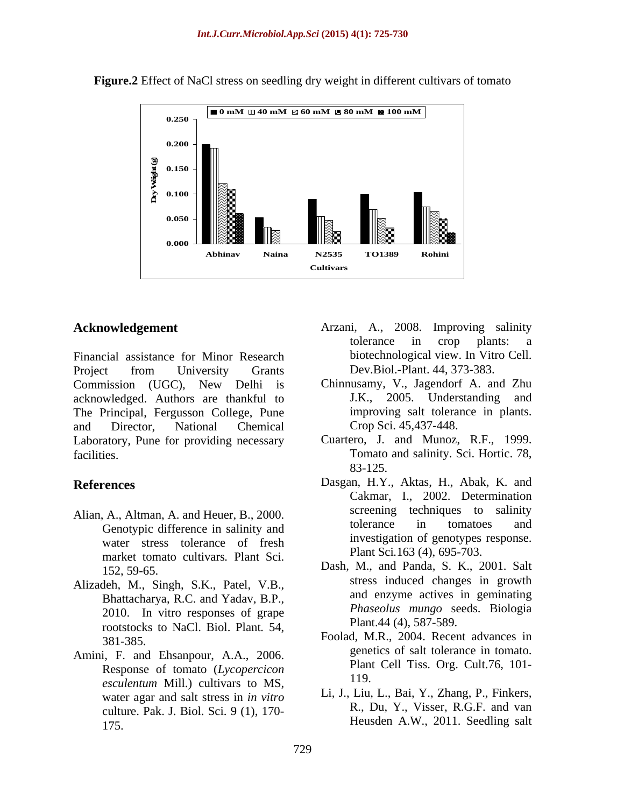

**Figure.2** Effect of NaCl stress on seedling dry weight in different cultivars of tomato

Financial assistance for Minor Research Project from University Grants Dev.Biol.-Plant. 44, 373-383. Commission (UGC), New Delhi is acknowledged. Authors are thankful to The Principal, Fergusson College, Pune and Director, National Chemical Laboratory, Pune for providing necessary facilities. Tomato and salinity. Sci. Hortic. 78,

- Alian, A., Altman, A. and Heuer, B., 2000.<br>Construing difference in equipity and the electronic difference in tomatoes and Genotypic difference in salinity and water stress tolerance of fresh market tomato cultivars*.* Plant Sci.
- Alizadeh, M., Singh, S.K., Patel, V.B., Bhattacharya, R.C. and Yadav, B.P., 2010. In vitro responses of grape rootstocks to NaCl. Biol. Plant*.* 54,
- Amini, F. and Ehsanpour, A.A., 2006. Response of tomato (*Lycopercicon* Plant<br>
resultation Mill.) subjects to MS 119. *esculentum* Mill.) cultivars to MS, water agar and salt stress in *in vitro* culture. Pak. J. Biol. Sci. 9 (1), 170- 175. Heusden A.W., 2011. Seedling salt
- **Acknowledgement** Arzani, A., 2008. Improving salinity tolerance in crop plants: a biotechnological view. In Vitro Cell. Dev.Biol.-Plant. 44, 373-383.
	- Chinnusamy, V., Jagendorf A. and Zhu J.K., 2005. Understanding and improving salt tolerance in plants. Crop Sci. 45,437-448.
	- Cuartero, J. and Munoz, R.F., 1999. 83-125.
- **References** Dasgan, H.Y., Aktas, H., Abak, K. and Cakmar, I., 2002. Determination screening techniques to salinity tolerance in tomatoes and investigation of genotypes response. Plant Sci*.*163 (4), 695-703.
	- Dash, M., and Panda, S. K., 2001. Salt stress induced changes in growth and enzyme actives in geminating *Phaseolus mungo* seeds. Biologia Plant.44 (4), 587-589.
	- 381-385. Foolad, M.R., 2004. Recent advances in genetics of salt tolerance in tomato. Plant Cell Tiss. Org. Cult.76, 101- 119.
		- Li, J., Liu, L., Bai, Y., Zhang, P., Finkers, R., Du, Y., Visser, R.G.F. and van